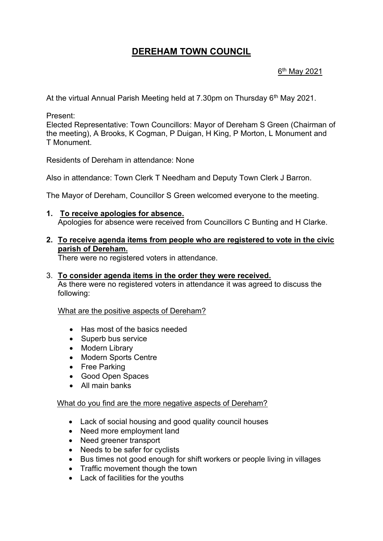# **DEREHAM TOWN COUNCIL**

### <u>6<sup>th</sup> May 2021</u>

At the virtual Annual Parish Meeting held at 7.30pm on Thursday 6<sup>th</sup> May 2021.

Present:

Elected Representative: Town Councillors: Mayor of Dereham S Green (Chairman of the meeting), A Brooks, K Cogman, P Duigan, H King, P Morton, L Monument and T Monument.

Residents of Dereham in attendance: None

Also in attendance: Town Clerk T Needham and Deputy Town Clerk J Barron.

The Mayor of Dereham, Councillor S Green welcomed everyone to the meeting.

**1. To receive apologies for absence.** Apologies for absence were received from Councillors C Bunting and H Clarke.

#### **2. To receive agenda items from people who are registered to vote in the civic parish of Dereham.**

There were no registered voters in attendance.

3. **To consider agenda items in the order they were received.** As there were no registered voters in attendance it was agreed to discuss the following:

What are the positive aspects of Dereham?

- Has most of the basics needed
- Superb bus service
- Modern Library
- Modern Sports Centre
- Free Parking
- Good Open Spaces
- All main banks

#### What do you find are the more negative aspects of Dereham?

- Lack of social housing and good quality council houses
- Need more employment land
- Need greener transport
- Needs to be safer for cyclists
- Bus times not good enough for shift workers or people living in villages
- Traffic movement though the town
- Lack of facilities for the youths